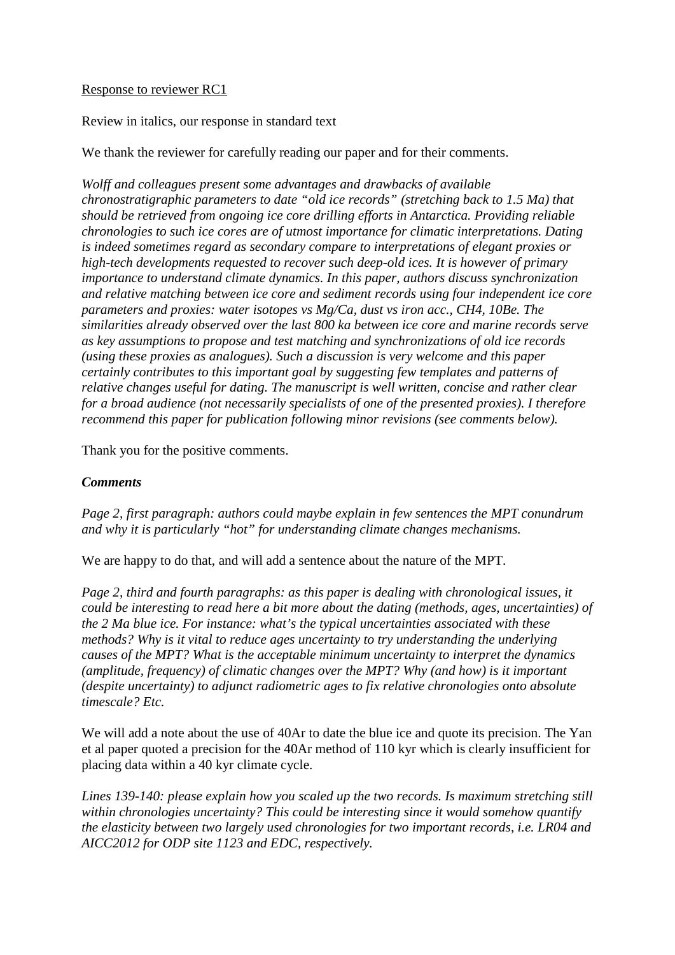#### Response to reviewer RC1

Review in italics, our response in standard text

We thank the reviewer for carefully reading our paper and for their comments.

*Wolff and colleagues present some advantages and drawbacks of available chronostratigraphic parameters to date "old ice records" (stretching back to 1.5 Ma) that should be retrieved from ongoing ice core drilling efforts in Antarctica. Providing reliable chronologies to such ice cores are of utmost importance for climatic interpretations. Dating is indeed sometimes regard as secondary compare to interpretations of elegant proxies or high-tech developments requested to recover such deep-old ices. It is however of primary importance to understand climate dynamics. In this paper, authors discuss synchronization and relative matching between ice core and sediment records using four independent ice core parameters and proxies: water isotopes vs Mg/Ca, dust vs iron acc., CH4, 10Be. The similarities already observed over the last 800 ka between ice core and marine records serve as key assumptions to propose and test matching and synchronizations of old ice records (using these proxies as analogues). Such a discussion is very welcome and this paper certainly contributes to this important goal by suggesting few templates and patterns of relative changes useful for dating. The manuscript is well written, concise and rather clear for a broad audience (not necessarily specialists of one of the presented proxies). I therefore recommend this paper for publication following minor revisions (see comments below).*

Thank you for the positive comments.

## *Comments*

*Page 2, first paragraph: authors could maybe explain in few sentences the MPT conundrum and why it is particularly "hot" for understanding climate changes mechanisms.*

We are happy to do that, and will add a sentence about the nature of the MPT.

*Page 2, third and fourth paragraphs: as this paper is dealing with chronological issues, it could be interesting to read here a bit more about the dating (methods, ages, uncertainties) of the 2 Ma blue ice. For instance: what's the typical uncertainties associated with these methods? Why is it vital to reduce ages uncertainty to try understanding the underlying causes of the MPT? What is the acceptable minimum uncertainty to interpret the dynamics (amplitude, frequency) of climatic changes over the MPT? Why (and how) is it important (despite uncertainty) to adjunct radiometric ages to fix relative chronologies onto absolute timescale? Etc.*

We will add a note about the use of 40Ar to date the blue ice and quote its precision. The Yan et al paper quoted a precision for the 40Ar method of 110 kyr which is clearly insufficient for placing data within a 40 kyr climate cycle.

*Lines 139-140: please explain how you scaled up the two records. Is maximum stretching still within chronologies uncertainty? This could be interesting since it would somehow quantify the elasticity between two largely used chronologies for two important records, i.e. LR04 and AICC2012 for ODP site 1123 and EDC, respectively.*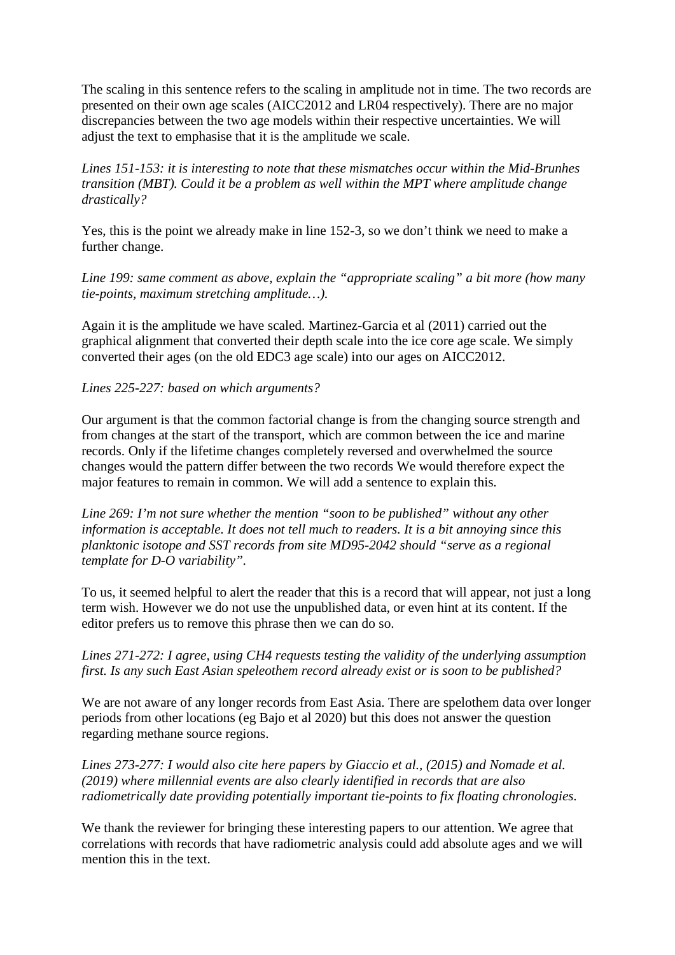The scaling in this sentence refers to the scaling in amplitude not in time. The two records are presented on their own age scales (AICC2012 and LR04 respectively). There are no major discrepancies between the two age models within their respective uncertainties. We will adjust the text to emphasise that it is the amplitude we scale.

*Lines 151-153: it is interesting to note that these mismatches occur within the Mid-Brunhes transition (MBT). Could it be a problem as well within the MPT where amplitude change drastically?*

Yes, this is the point we already make in line 152-3, so we don't think we need to make a further change.

*Line 199: same comment as above, explain the "appropriate scaling" a bit more (how many tie-points, maximum stretching amplitude…).*

Again it is the amplitude we have scaled. Martinez-Garcia et al (2011) carried out the graphical alignment that converted their depth scale into the ice core age scale. We simply converted their ages (on the old EDC3 age scale) into our ages on AICC2012.

#### *Lines 225-227: based on which arguments?*

Our argument is that the common factorial change is from the changing source strength and from changes at the start of the transport, which are common between the ice and marine records. Only if the lifetime changes completely reversed and overwhelmed the source changes would the pattern differ between the two records We would therefore expect the major features to remain in common. We will add a sentence to explain this.

*Line 269: I'm not sure whether the mention "soon to be published" without any other information is acceptable. It does not tell much to readers. It is a bit annoying since this planktonic isotope and SST records from site MD95-2042 should "serve as a regional template for D-O variability".*

To us, it seemed helpful to alert the reader that this is a record that will appear, not just a long term wish. However we do not use the unpublished data, or even hint at its content. If the editor prefers us to remove this phrase then we can do so.

### *Lines 271-272: I agree, using CH4 requests testing the validity of the underlying assumption first. Is any such East Asian speleothem record already exist or is soon to be published?*

We are not aware of any longer records from East Asia. There are spelothem data over longer periods from other locations (eg Bajo et al 2020) but this does not answer the question regarding methane source regions.

*Lines 273-277: I would also cite here papers by Giaccio et al., (2015) and Nomade et al. (2019) where millennial events are also clearly identified in records that are also radiometrically date providing potentially important tie-points to fix floating chronologies.*

We thank the reviewer for bringing these interesting papers to our attention. We agree that correlations with records that have radiometric analysis could add absolute ages and we will mention this in the text.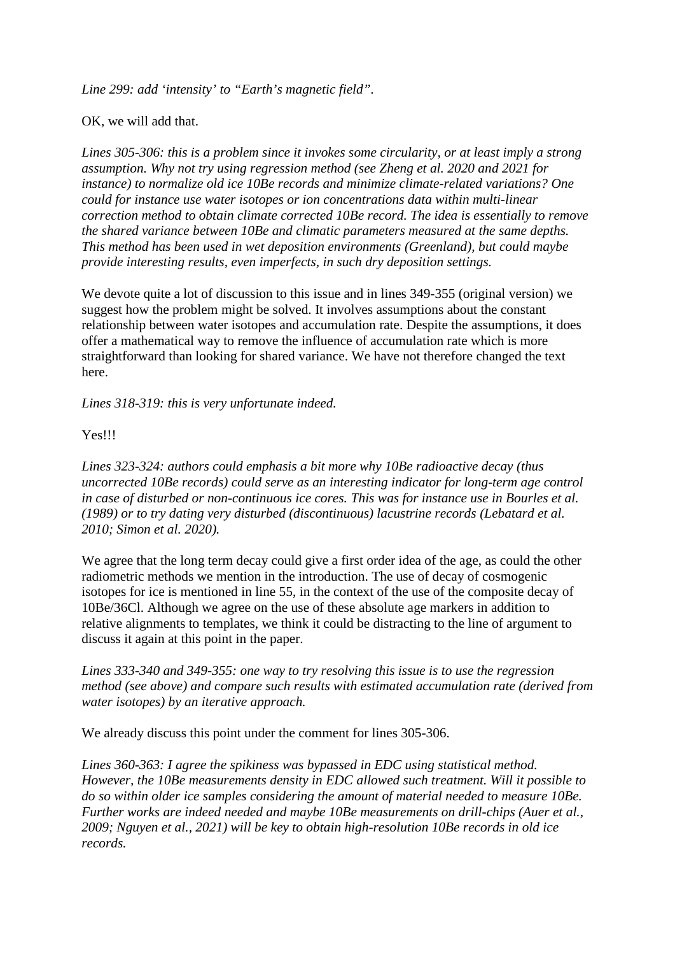*Line 299: add 'intensity' to "Earth's magnetic field".*

OK, we will add that.

*Lines 305-306: this is a problem since it invokes some circularity, or at least imply a strong assumption. Why not try using regression method (see Zheng et al. 2020 and 2021 for instance) to normalize old ice 10Be records and minimize climate-related variations? One could for instance use water isotopes or ion concentrations data within multi-linear correction method to obtain climate corrected 10Be record. The idea is essentially to remove the shared variance between 10Be and climatic parameters measured at the same depths. This method has been used in wet deposition environments (Greenland), but could maybe provide interesting results, even imperfects, in such dry deposition settings.*

We devote quite a lot of discussion to this issue and in lines  $349-355$  (original version) we suggest how the problem might be solved. It involves assumptions about the constant relationship between water isotopes and accumulation rate. Despite the assumptions, it does offer a mathematical way to remove the influence of accumulation rate which is more straightforward than looking for shared variance. We have not therefore changed the text here.

*Lines 318-319: this is very unfortunate indeed.*

Yes!!!

*Lines 323-324: authors could emphasis a bit more why 10Be radioactive decay (thus uncorrected 10Be records) could serve as an interesting indicator for long-term age control in case of disturbed or non-continuous ice cores. This was for instance use in Bourles et al. (1989) or to try dating very disturbed (discontinuous) lacustrine records (Lebatard et al. 2010; Simon et al. 2020).*

We agree that the long term decay could give a first order idea of the age, as could the other radiometric methods we mention in the introduction. The use of decay of cosmogenic isotopes for ice is mentioned in line 55, in the context of the use of the composite decay of 10Be/36Cl. Although we agree on the use of these absolute age markers in addition to relative alignments to templates, we think it could be distracting to the line of argument to discuss it again at this point in the paper.

*Lines 333-340 and 349-355: one way to try resolving this issue is to use the regression method (see above) and compare such results with estimated accumulation rate (derived from water isotopes) by an iterative approach.*

We already discuss this point under the comment for lines 305-306.

*Lines 360-363: I agree the spikiness was bypassed in EDC using statistical method. However, the 10Be measurements density in EDC allowed such treatment. Will it possible to do so within older ice samples considering the amount of material needed to measure 10Be. Further works are indeed needed and maybe 10Be measurements on drill-chips (Auer et al., 2009; Nguyen et al., 2021) will be key to obtain high-resolution 10Be records in old ice records.*